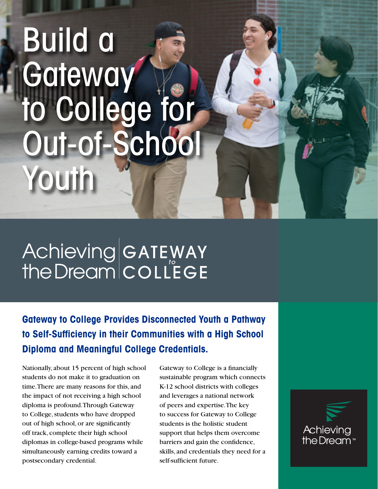## Build a **Gateway** to College for Out-of-School Youth

# Achieving GATEWAY<br>the Dream COLLEGE

**Gateway to College Provides Disconnected Youth a Pathway to Self-Sufficiency in their Communities with a High School Diploma and Meaningful College Credentials.**

Nationally, about 15 percent of high school students do not make it to graduation on time. There are many reasons for this, and the impact of not receiving a high school diploma is profound. Through Gateway to College, students who have dropped out of high school, or are significantly off track, complete their high school diplomas in college-based programs while simultaneously earning credits toward a postsecondary credential.

Gateway to College is a financially sustainable program which connects K-12 school districts with colleges and leverages a national network of peers and expertise. The key to success for Gateway to College students is the holistic student support that helps them overcome barriers and gain the confidence, skills, and credentials they need for a self-sufficient future.